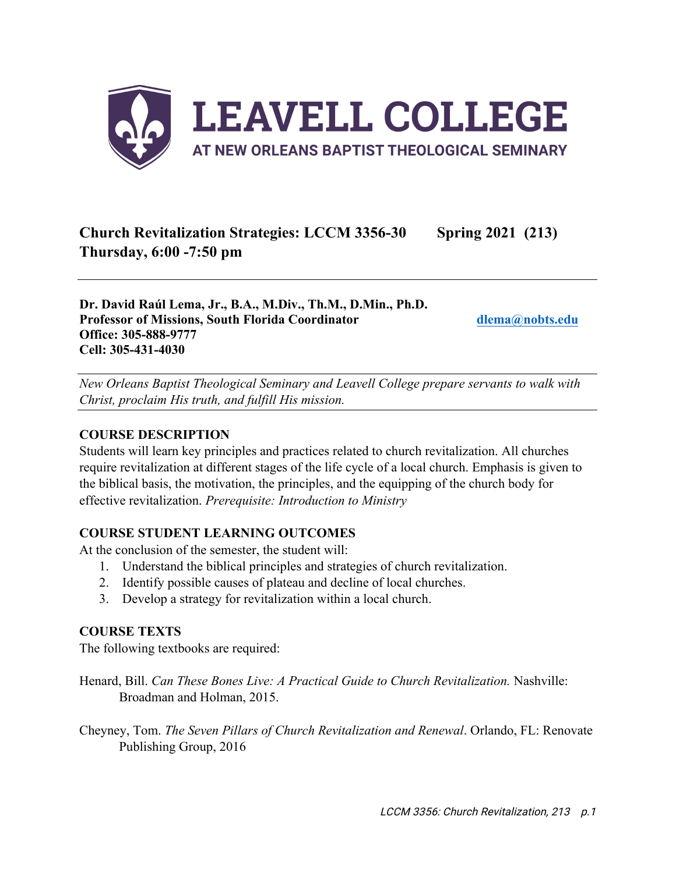

# **Church Revitalization Strategies: LCCM 3356-30 Spring 2021 (213) Thursday, 6:00 -7:50 pm**

**Dr. David Raúl Lema, Jr., B.A., M.Div., Th.M., D.Min., Ph.D. Professor of Missions, South Florida Coordinator dlema@nobts.edu Office: 305-888-9777 Cell: 305-431-4030**

*New Orleans Baptist Theological Seminary and Leavell College prepare servants to walk with Christ, proclaim His truth, and fulfill His mission.*

### **COURSE DESCRIPTION**

Students will learn key principles and practices related to church revitalization. All churches require revitalization at different stages of the life cycle of a local church. Emphasis is given to the biblical basis, the motivation, the principles, and the equipping of the church body for effective revitalization. *Prerequisite: Introduction to Ministry*

## **COURSE STUDENT LEARNING OUTCOMES**

At the conclusion of the semester, the student will:

- 1. Understand the biblical principles and strategies of church revitalization.
- 2. Identify possible causes of plateau and decline of local churches.
- 3. Develop a strategy for revitalization within a local church.

#### **COURSE TEXTS**

The following textbooks are required:

Henard, Bill. *Can These Bones Live: A Practical Guide to Church Revitalization.* Nashville: Broadman and Holman, 2015.

Cheyney, Tom. *The Seven Pillars of Church Revitalization and Renewal*. Orlando, FL: Renovate Publishing Group, 2016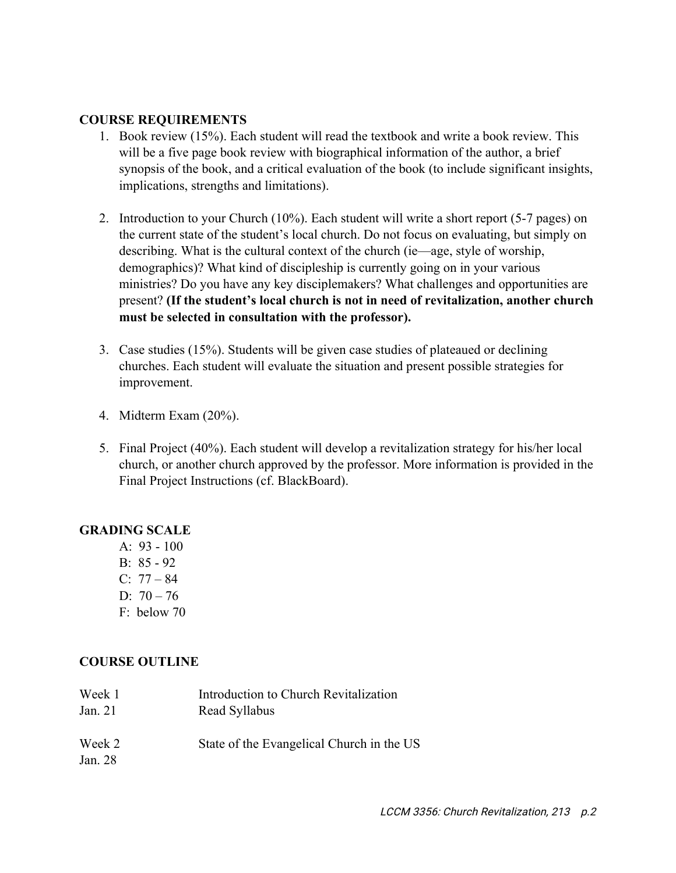#### **COURSE REQUIREMENTS**

- 1. Book review (15%). Each student will read the textbook and write a book review. This will be a five page book review with biographical information of the author, a brief synopsis of the book, and a critical evaluation of the book (to include significant insights, implications, strengths and limitations).
- 2. Introduction to your Church (10%). Each student will write a short report (5-7 pages) on the current state of the student's local church. Do not focus on evaluating, but simply on describing. What is the cultural context of the church (ie—age, style of worship, demographics)? What kind of discipleship is currently going on in your various ministries? Do you have any key disciplemakers? What challenges and opportunities are present? **(If the student's local church is not in need of revitalization, another church must be selected in consultation with the professor).**
- 3. Case studies (15%). Students will be given case studies of plateaued or declining churches. Each student will evaluate the situation and present possible strategies for improvement.
- 4. Midterm Exam (20%).
- 5. Final Project (40%). Each student will develop a revitalization strategy for his/her local church, or another church approved by the professor. More information is provided in the Final Project Instructions (cf. BlackBoard).

#### **GRADING SCALE**

A: 93 - 100 B: 85 - 92  $C: 77 - 84$ D:  $70 - 76$ F: below 70

## **COURSE OUTLINE**

| Week 1            | Introduction to Church Revitalization     |
|-------------------|-------------------------------------------|
| Jan. 21           | Read Syllabus                             |
| Week 2<br>Jan. 28 | State of the Evangelical Church in the US |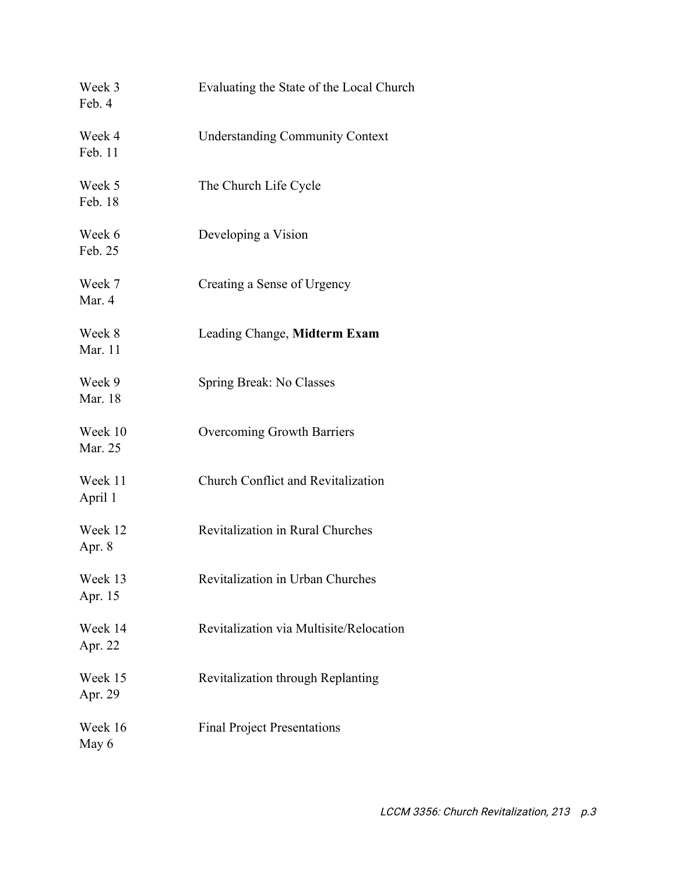| Week 3<br>Feb. 4   | Evaluating the State of the Local Church  |
|--------------------|-------------------------------------------|
| Week 4<br>Feb. 11  | <b>Understanding Community Context</b>    |
| Week 5<br>Feb. 18  | The Church Life Cycle                     |
| Week 6<br>Feb. 25  | Developing a Vision                       |
| Week 7<br>Mar. 4   | Creating a Sense of Urgency               |
| Week 8<br>Mar. 11  | Leading Change, Midterm Exam              |
| Week 9<br>Mar. 18  | Spring Break: No Classes                  |
| Week 10<br>Mar. 25 | Overcoming Growth Barriers                |
| Week 11<br>April 1 | <b>Church Conflict and Revitalization</b> |
| Week 12<br>Apr. 8  | Revitalization in Rural Churches          |
| Week 13<br>Apr. 15 | Revitalization in Urban Churches          |
| Week 14<br>Apr. 22 | Revitalization via Multisite/Relocation   |
| Week 15<br>Apr. 29 | Revitalization through Replanting         |
| Week 16<br>May 6   | <b>Final Project Presentations</b>        |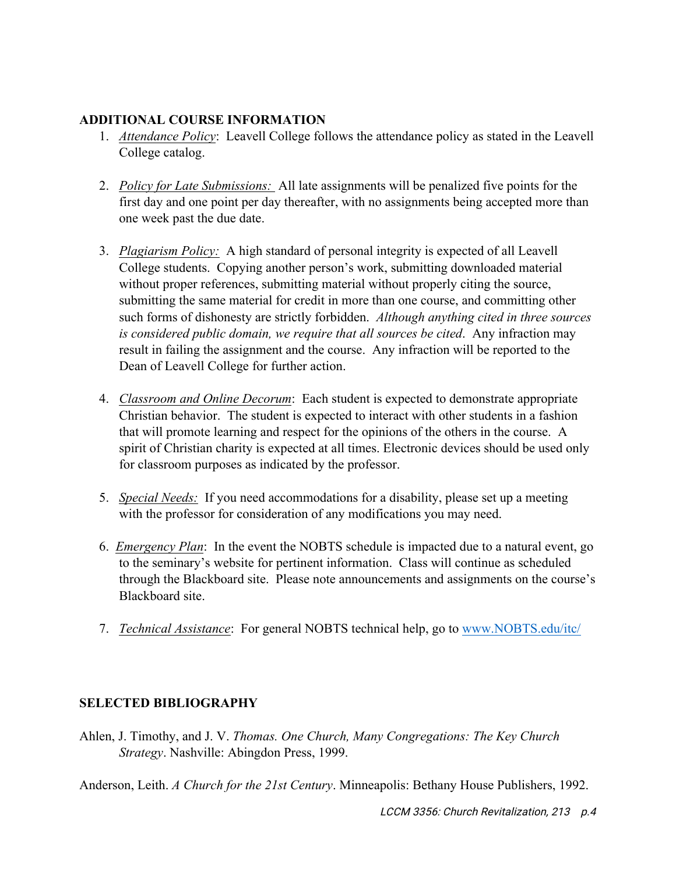# **ADDITIONAL COURSE INFORMATION**

- 1. *Attendance Policy*: Leavell College follows the attendance policy as stated in the Leavell College catalog.
- 2. *Policy for Late Submissions:* All late assignments will be penalized five points for the first day and one point per day thereafter, with no assignments being accepted more than one week past the due date.
- 3. *Plagiarism Policy:* A high standard of personal integrity is expected of all Leavell College students. Copying another person's work, submitting downloaded material without proper references, submitting material without properly citing the source, submitting the same material for credit in more than one course, and committing other such forms of dishonesty are strictly forbidden. *Although anything cited in three sources is considered public domain, we require that all sources be cited*. Any infraction may result in failing the assignment and the course. Any infraction will be reported to the Dean of Leavell College for further action.
- 4. *Classroom and Online Decorum*: Each student is expected to demonstrate appropriate Christian behavior. The student is expected to interact with other students in a fashion that will promote learning and respect for the opinions of the others in the course. A spirit of Christian charity is expected at all times. Electronic devices should be used only for classroom purposes as indicated by the professor.
- 5. *Special Needs:* If you need accommodations for a disability, please set up a meeting with the professor for consideration of any modifications you may need.
- 6. *Emergency Plan*: In the event the NOBTS schedule is impacted due to a natural event, go to the seminary's website for pertinent information. Class will continue as scheduled through the Blackboard site. Please note announcements and assignments on the course's Blackboard site.
- 7. *Technical Assistance*: For general NOBTS technical help, go to www.NOBTS.edu/itc/

# **SELECTED BIBLIOGRAPHY**

Ahlen, J. Timothy, and J. V. *Thomas. One Church, Many Congregations: The Key Church Strategy*. Nashville: Abingdon Press, 1999.

Anderson, Leith. *A Church for the 21st Century*. Minneapolis: Bethany House Publishers, 1992.